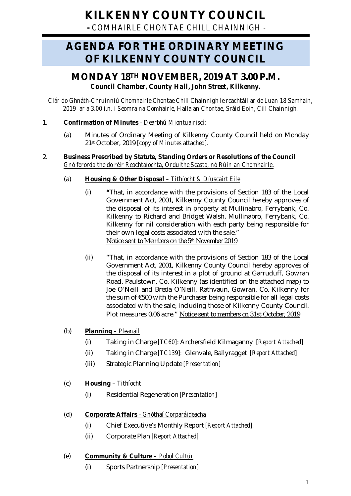# **KILKENNY COUNTY COUNCIL**

**-** *COMHAIRLE CHONTAE CHILL CHAINNIGH -*

## **AGENDA FOR THE ORDINARY MEETING OF KILKENNY COUNTY COUNCIL**

### **MONDAY 18TH NOVEMBER, 2019 AT 3.00 P.M.** *Council Chamber, County Hall, John Street, Kilkenny.*

*Clár do Ghnáth-Chruinniú Chomhairle Chontae Chill Chainnigh le reachtáil ar de Luan 18 Samhain, 2019 ar a 3.00 i.n. i Seomra na Comhairle, Halla an Chontae, Sráid Eoin, Cill Chainnigh.*

### 1. **Confirmation of Minutes** - *Dearbhú Miontuairiscí:*

(a) Minutes of Ordinary Meeting of Kilkenny County Council held on Monday 21st October, 2019 *[copy of Minutes attached].*

### 2. **Business Prescribed by Statute, Standing Orders or Resolutions of the Council** *Gnó forordaithe do réir Reachtaíochta, Orduithe Seasta, nó Rúin an Chomhairle*.

### (a) **Housing & Other Disposal** *– Tithíocht & Díuscairt Eile*

- (i) **"**That, in accordance with the provisions of Section 183 of the Local Government Act, 2001, Kilkenny County Council hereby approves of the disposal of its interest in property at Mullinabro, Ferrybank, Co. Kilkenny to Richard and Bridget Walsh, Mullinabro, Ferrybank, Co. Kilkenny for nil consideration with each party being responsible for their own legal costs associated with the sale." *Notice sent to Members on the 5th November 2019*
- (ii) "That, in accordance with the provisions of Section 183 of the Local Government Act, 2001, Kilkenny County Council hereby approves of the disposal of its interest in a plot of ground at Garruduff, Gowran Road, Paulstown, Co. Kilkenny (as identified on the attached map) to Joe O'Neill and Breda O'Neill, Rathvaun, Gowran, Co. Kilkenny for the sum of €500 with the Purchaser being responsible for all legal costs associated with the sale, including those of Kilkenny County Council. Plot measures 0.06 acre." *Notice sent to members on 31st October, 2019*

### (b) **Planning** *– Pleanail*

- (i) Taking in Charge *[TC60]*: Archersfield Kilmaganny *[Report Attached]*
- (ii) Taking in Charge *[TC139]:* Glenvale, Ballyragget *[Report Attached]*
- (iii) Strategic Planning Update *[Presentation]*

### (c) **Housing** – *Tithíocht*

(i) Residential Regeneration *[Presentation]*

### (d) **Corporate Affairs** - *Gnóthaí Corparáideacha*

- (i) Chief Executive's Monthly Report *[Report Attached].*
- (ii) Corporate Plan *[Report Attached]*

### (e) **Community & Culture** - *Pobol Cultúr*

(i) Sports Partnership *[Presentation]*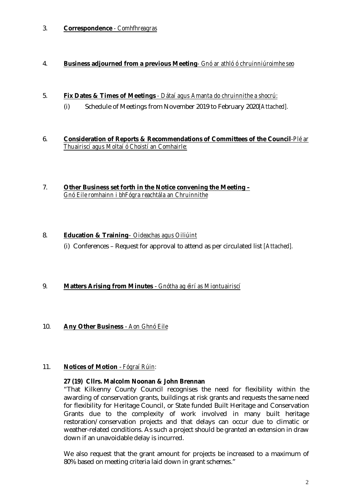### 3. **Correspondence** *- Comhfhreagras*

### 4. **Business adjourned from a previous Meeting***- Gnó ar athló ó chruinniúroimhe seo*

- 5. **Fix Dates & Times of Meetings** *- Dátaí agus Amanta do chruinnithe a shocrú:* 
	- (i) Schedule of Meetings from November 2019 to February 2020*[Attached].*
- 6. **Consideration of Reports & Recommendations of Committees of the Council***-Plé ar Thuairiscí agus Moltaí ó Choistí an Comhairle:*
- 7. **Other Business set forth in the Notice convening the Meeting –** *Gnó Eile romhainn i bhFógra reachtála an Chruinnithe*

### 8. **Education & Training***– Oideachas agus Oiliúint* (i) Conferences – Request for approval to attend as per circulated list *[Attached].*

### 9. **Matters Arising from Minutes** - *Gnótha ag éirí as Miontuairiscí*

### 10. **Any Other Business** - *Aon Ghnó Eile*

#### 11. **Notices of Motion** - *Fógraí Rúin:*

#### **27 (19) Cllrs. Malcolm Noonan & John Brennan**

"That Kilkenny County Council recognises the need for flexibility within the awarding of conservation grants, buildings at risk grants and requests the same need for flexibility for Heritage Council, or State funded Built Heritage and Conservation Grants due to the complexity of work involved in many built heritage restoration/conservation projects and that delays can occur due to climatic or weather-related conditions. As such a project should be granted an extension in draw down if an unavoidable delay is incurred.

We also request that the grant amount for projects be increased to a maximum of 80% based on meeting criteria laid down in grant schemes."